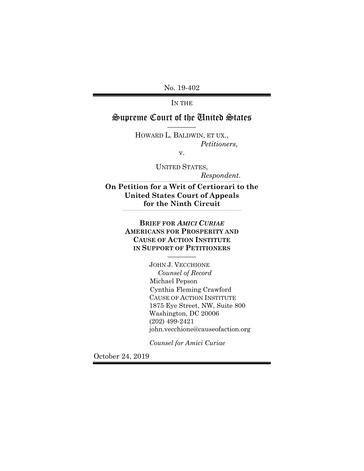No. 19-402

IN THE

# Supreme Court of the United States ————

HOWARD L. BALDWIN, ET UX., *Petitioners*,

v.

UNITED STATES,

 $Respondent.$ 

**On Petition for a Writ of Certiorari to the United States Court of Appeals for the Ninth Circuit** 

\_\_\_\_\_\_\_\_\_\_\_\_\_\_\_\_\_\_\_\_\_\_\_\_\_\_\_\_\_\_\_\_\_\_\_\_\_\_\_\_\_\_\_\_\_\_\_\_\_\_\_\_\_\_\_\_\_\_\_\_\_\_\_\_\_\_\_\_\_\_\_\_\_\_\_\_\_\_\_\_\_\_\_\_\_\_\_\_\_\_\_\_\_\_\_\_\_\_\_\_

**BRIEF FOR** *AMICI CURIAE* **AMERICANS FOR PROSPERITY AND CAUSE OF ACTION INSTITUTE IN SUPPORT OF PETITIONERS**

————

JOHN J. VECCHIONE *Counsel of Record*  Michael Pepson Cynthia Fleming Crawford CAUSE OF ACTION INSTITUTE 1875 Eye Street, NW, Suite 800 Washington, DC 20006 (202) 499-2421 john.vecchione@causeofaction.org

*Counsel for Amici Curiae*

October 24, 2019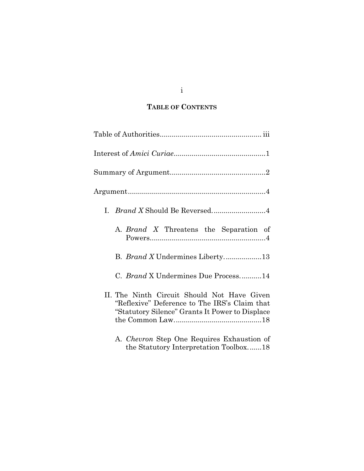# **TABLE OF CONTENTS**

| I. Brand X Should Be Reversed4                                                                                                                  |
|-------------------------------------------------------------------------------------------------------------------------------------------------|
| A. Brand X Threatens the Separation of                                                                                                          |
| B. <i>Brand X</i> Undermines Liberty13                                                                                                          |
| C. Brand X Undermines Due Process14                                                                                                             |
| II. The Ninth Circuit Should Not Have Given<br>"Reflexive" Deference to The IRS's Claim that<br>"Statutory Silence" Grants It Power to Displace |
| A. <i>Chevron</i> Step One Requires Exhaustion of<br>the Statutory Interpretation Toolbox18                                                     |

i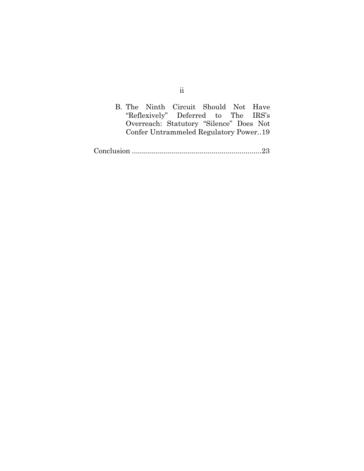|  | B. The Ninth Circuit Should Not Have    |  |  |
|--|-----------------------------------------|--|--|
|  | "Reflexively" Deferred to The IRS's     |  |  |
|  | Overreach: Statutory "Silence" Does Not |  |  |
|  | Confer Untrammeled Regulatory Power19   |  |  |

Conclusion ................................................................. 23

ii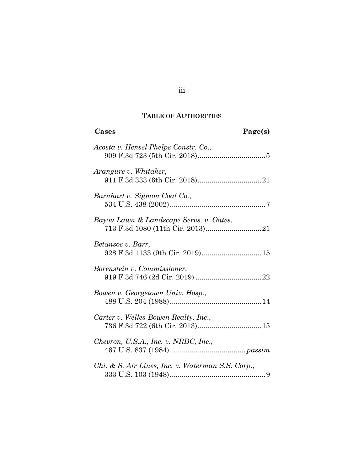## **TABLE OF AUTHORITIES**

| Cases                                                | Page(s) |
|------------------------------------------------------|---------|
| Acosta v. Hensel Phelps Constr. Co.,                 |         |
| Arangure v. Whitaker,                                |         |
| Barnhart v. Sigmon Coal Co.,                         |         |
| Bayou Lawn & Landscape Servs. v. Oates,              |         |
| Betansos v. Barr,<br>928 F.3d 1133 (9th Cir. 2019)15 |         |
| Borenstein v. Commissioner,                          |         |
| Bowen v. Georgetown Univ. Hosp.,                     |         |
| Carter v. Welles-Bowen Realty, Inc.,                 |         |
| Chevron, U.S.A., Inc. v. NRDC, Inc.,                 |         |
| Chi. & S. Air Lines, Inc. v. Waterman S.S. Corp.,    |         |

iii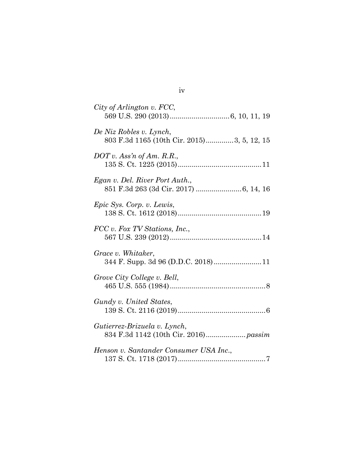| City of Arlington v. FCC,                                             |
|-----------------------------------------------------------------------|
| De Niz Robles v. Lynch,<br>803 F.3d 1165 (10th Cir. 2015)3, 5, 12, 15 |
| $DOT$ v. Ass'n of Am. R.R.,                                           |
| Egan v. Del. River Port Auth.,                                        |
| Epic Sys. Corp. v. Lewis,                                             |
| FCC v. Fox TV Stations, Inc.,                                         |
| Grace v. Whitaker,<br>344 F. Supp. 3d 96 (D.D.C. 2018)11              |
| Grove City College v. Bell,                                           |
| Gundy v. United States,                                               |
| Gutierrez-Brizuela v. Lynch,                                          |
| Henson v. Santander Consumer USA Inc.,                                |

iv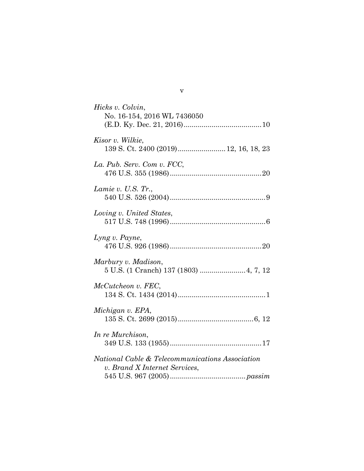| Hicks v. Colvin,<br>No. 16-154, 2016 WL 7436050                                  |
|----------------------------------------------------------------------------------|
| Kisor v. Wilkie,<br>139 S. Ct. 2400 (2019) 12, 16, 18, 23                        |
| La. Pub. Serv. Com v. FCC,                                                       |
| Lamie v. U.S. $Tr.$ ,                                                            |
| Loving v. United States,                                                         |
| Lyng v. Payne,                                                                   |
| Marbury v. Madison,<br>5 U.S. (1 Cranch) 137 (1803)  4, 7, 12                    |
| McCutcheon v. FEC,                                                               |
| Michigan v. EPA,                                                                 |
| In re Murchison,                                                                 |
| National Cable & Telecommunications Association<br>v. Brand X Internet Services, |

v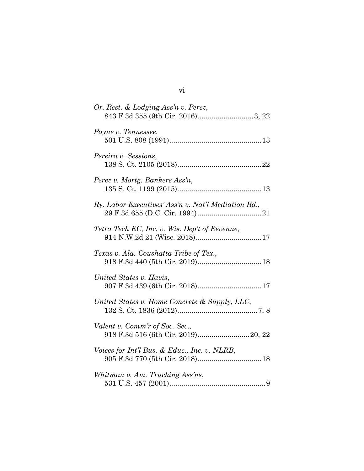| Or. Rest. & Lodging Ass'n v. Perez,<br>843 F.3d 355 (9th Cir. 2016)3, 22 |
|--------------------------------------------------------------------------|
| Payne v. Tennessee,                                                      |
| Pereira v. Sessions,                                                     |
| Perez v. Mortg. Bankers Ass'n,                                           |
| Ry. Labor Executives' Ass'n v. Nat'l Mediation Bd.,                      |
| Tetra Tech EC, Inc. v. Wis. Dep't of Revenue,                            |
| Texas v. Ala.-Coushatta Tribe of Tex.,                                   |
| United States v. Havis,                                                  |
| United States v. Home Concrete & Supply, LLC,                            |
| Valent v. Comm'r of Soc. Sec.,                                           |
| Voices for Int'l Bus. & Educ., Inc. v. NLRB,                             |
| Whitman v. Am. Trucking Ass'ns,                                          |

vi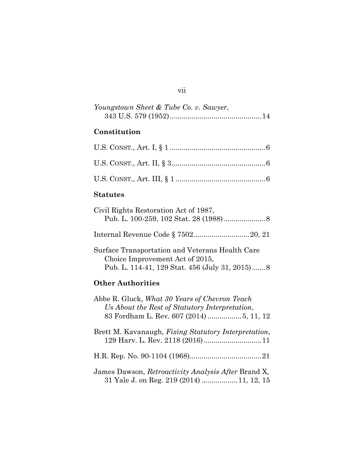| Youngstown Sheet & Tube Co. v. Sawyer, |  |
|----------------------------------------|--|
|                                        |  |

# **Constitution**

# **Statutes**

| Civil Rights Restoration Act of 1987,                                                                                                |
|--------------------------------------------------------------------------------------------------------------------------------------|
|                                                                                                                                      |
| Surface Transportation and Veterans Health Care<br>Choice Improvement Act of 2015,<br>Pub. L. 114-41, 129 Stat. 456 (July 31, 2015)8 |

# **Other Authorities**

| Abbe R. Gluck, What 30 Years of Chevron Teach<br>Us About the Rest of Statutory Interpretation,  |
|--------------------------------------------------------------------------------------------------|
| 83 Fordham L. Rev. 607 (2014) 5, 11, 12                                                          |
| Brett M. Kavanaugh, <i>Fixing Statutory Interpretation</i> ,                                     |
|                                                                                                  |
| James Dawson, Retroactivity Analysis After Brand X,<br>31 Yale J. on Reg. 219 (2014)  11, 12, 15 |

## vii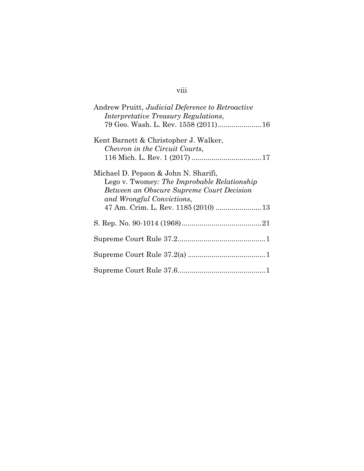# viii

| Andrew Pruitt, Judicial Deference to Retroactive<br><i>Interpretative Treasury Regulations,</i>                                                                                                      |
|------------------------------------------------------------------------------------------------------------------------------------------------------------------------------------------------------|
| 79 Geo. Wash. L. Rev. 1558 (2011) 16                                                                                                                                                                 |
| Kent Barnett & Christopher J. Walker,<br>Chevron in the Circuit Courts,                                                                                                                              |
| Michael D. Pepson & John N. Sharifi,<br>Lego v. Twomey: The Improbable Relationship<br>Between an Obscure Supreme Court Decision<br>and Wrongful Convictions,<br>47 Am. Crim. L. Rev. 1185 (2010) 13 |
|                                                                                                                                                                                                      |
|                                                                                                                                                                                                      |
|                                                                                                                                                                                                      |
|                                                                                                                                                                                                      |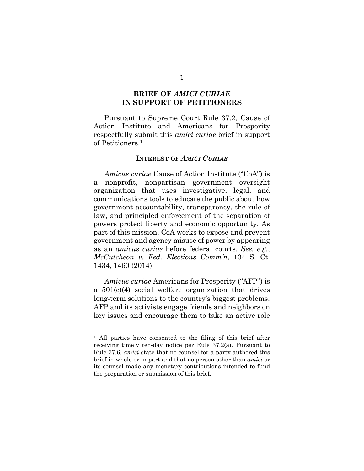### **BRIEF OF** *AMICI CURIAE*  **IN SUPPORT OF PETITIONERS**

Pursuant to Supreme Court Rule 37.2, Cause of Action Institute and Americans for Prosperity respectfully submit this *amici curiae* brief in support of Petitioners.1

#### **INTEREST OF** *AMICI CURIAE*

*Amicus curiae* Cause of Action Institute ("CoA") is a nonprofit, nonpartisan government oversight organization that uses investigative, legal, and communications tools to educate the public about how government accountability, transparency, the rule of law, and principled enforcement of the separation of powers protect liberty and economic opportunity. As part of this mission, CoA works to expose and prevent government and agency misuse of power by appearing as an *amicus curiae* before federal courts. *See, e.g.*, *McCutcheon v. Fed. Elections Comm'n*, 134 S. Ct. 1434, 1460 (2014).

*Amicus curiae* Americans for Prosperity ("AFP") is a 501(c)(4) social welfare organization that drives long-term solutions to the country's biggest problems. AFP and its activists engage friends and neighbors on key issues and encourage them to take an active role

<sup>1</sup> All parties have consented to the filing of this brief after receiving timely ten-day notice per Rule 37.2(a). Pursuant to Rule 37.6, *amici* state that no counsel for a party authored this brief in whole or in part and that no person other than *amici* or its counsel made any monetary contributions intended to fund the preparation or submission of this brief.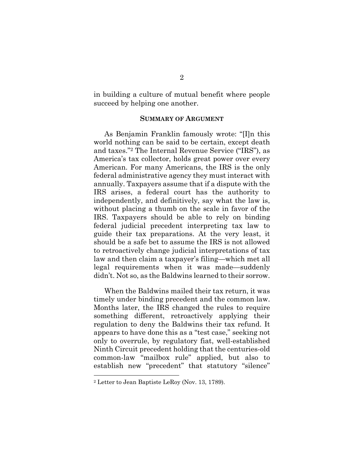in building a culture of mutual benefit where people succeed by helping one another.

#### **SUMMARY OF ARGUMENT**

As Benjamin Franklin famously wrote: "[I]n this world nothing can be said to be certain, except death and taxes."2 The Internal Revenue Service ("IRS"), as America's tax collector, holds great power over every American. For many Americans, the IRS is the only federal administrative agency they must interact with annually. Taxpayers assume that if a dispute with the IRS arises, a federal court has the authority to independently, and definitively, say what the law is, without placing a thumb on the scale in favor of the IRS. Taxpayers should be able to rely on binding federal judicial precedent interpreting tax law to guide their tax preparations. At the very least, it should be a safe bet to assume the IRS is not allowed to retroactively change judicial interpretations of tax law and then claim a taxpayer's filing—which met all legal requirements when it was made—suddenly didn't. Not so, as the Baldwins learned to their sorrow.

When the Baldwins mailed their tax return, it was timely under binding precedent and the common law. Months later, the IRS changed the rules to require something different, retroactively applying their regulation to deny the Baldwins their tax refund. It appears to have done this as a "test case," seeking not only to overrule, by regulatory fiat, well-established Ninth Circuit precedent holding that the centuries-old common-law "mailbox rule" applied, but also to establish new "precedent" that statutory "silence"

<sup>2</sup> Letter to Jean Baptiste LeRoy (Nov. 13, 1789).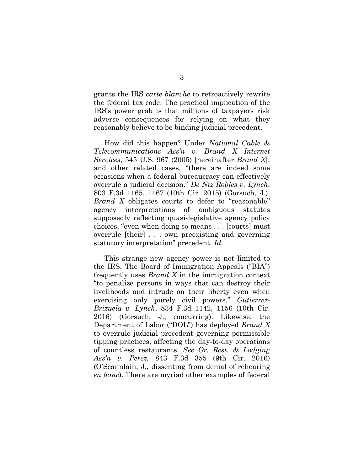grants the IRS *carte blanche* to retroactively rewrite the federal tax code. The practical implication of the IRS's power grab is that millions of taxpayers risk adverse consequences for relying on what they reasonably believe to be binding judicial precedent.

How did this happen? Under *National Cable & Telecommunications Ass'n v. Brand X Internet Services*, 545 U.S. 967 (2005) [hereinafter *Brand X*], and other related cases, "there are indeed some occasions when a federal bureaucracy can effectively overrule a judicial decision." *De Niz Robles v. Lynch*, 803 F.3d 1165, 1167 (10th Cir. 2015) (Gorsuch, J.). *Brand X* obligates courts to defer to "reasonable" agency interpretations of ambiguous statutes supposedly reflecting quasi-legislative agency policy choices, "even when doing so means . . . [courts] must overrule [their] . . . own preexisting and governing statutory interpretation" precedent. *Id.*

This strange new agency power is not limited to the IRS. The Board of Immigration Appeals ("BIA") frequently uses *Brand X* in the immigration context "to penalize persons in ways that can destroy their livelihoods and intrude on their liberty even when exercising only purely civil powers." *Gutierrez-Brizuela v. Lynch*, 834 F.3d 1142, 1156 (10th Cir. 2016) (Gorsuch, J., concurring). Likewise, the Department of Labor ("DOL") has deployed *Brand X* to overrule judicial precedent governing permissible tipping practices, affecting the day-to-day operations of countless restaurants. *See Or. Rest. & Lodging Ass'n v. Perez,* 843 F.3d 355 (9th Cir. 2016) (O'Scannlain, J., dissenting from denial of rehearing *en banc*). There are myriad other examples of federal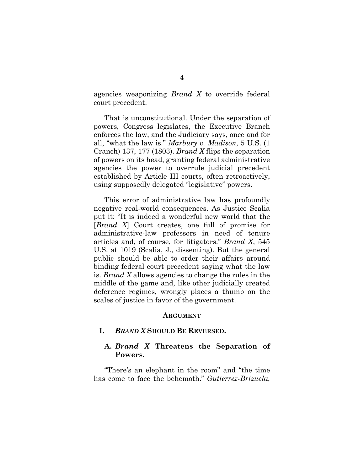agencies weaponizing *Brand X* to override federal court precedent.

That is unconstitutional. Under the separation of powers, Congress legislates, the Executive Branch enforces the law, and the Judiciary says, once and for all, "what the law is." *Marbury v. Madison*, 5 U.S. (1 Cranch) 137, 177 (1803). *Brand X* flips the separation of powers on its head, granting federal administrative agencies the power to overrule judicial precedent established by Article III courts, often retroactively, using supposedly delegated "legislative" powers.

This error of administrative law has profoundly negative real-world consequences. As Justice Scalia put it: "It is indeed a wonderful new world that the [*Brand X*] Court creates, one full of promise for administrative-law professors in need of tenure articles and, of course, for litigators." *Brand X*, 545 U.S. at 1019 (Scalia, J., dissenting). But the general public should be able to order their affairs around binding federal court precedent saying what the law is. *Brand X* allows agencies to change the rules in the middle of the game and, like other judicially created deference regimes, wrongly places a thumb on the scales of justice in favor of the government.

#### **ARGUMENT**

#### **I.** *BRAND X* **SHOULD BE REVERSED.**

### **A.** *Brand X* **Threatens the Separation of Powers.**

"There's an elephant in the room" and "the time has come to face the behemoth." *Gutierrez-Brizuela*,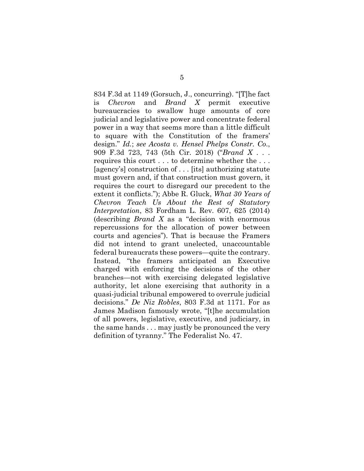834 F.3d at 1149 (Gorsuch, J., concurring). "[T]he fact is *Chevron* and *Brand X* permit executive bureaucracies to swallow huge amounts of core judicial and legislative power and concentrate federal power in a way that seems more than a little difficult to square with the Constitution of the framers' design." *Id.*; *see Acosta v. Hensel Phelps Constr. Co*., 909 F.3d 723, 743 (5th Cir. 2018) ("*Brand X* . . . requires this court . . . to determine whether the . . . [agency's] construction of . . . [its] authorizing statute must govern and, if that construction must govern, it requires the court to disregard our precedent to the extent it conflicts."); Abbe R. Gluck, *What 30 Years of Chevron Teach Us About the Rest of Statutory Interpretation*, 83 Fordham L. Rev. 607, 625 (2014) (describing *Brand X* as a "decision with enormous repercussions for the allocation of power between courts and agencies"). That is because the Framers did not intend to grant unelected, unaccountable federal bureaucrats these powers—quite the contrary. Instead, "the framers anticipated an Executive charged with enforcing the decisions of the other branches—not with exercising delegated legislative authority, let alone exercising that authority in a quasi-judicial tribunal empowered to overrule judicial decisions." *De Niz Robles*, 803 F.3d at 1171. For as James Madison famously wrote, "[t]he accumulation of all powers, legislative, executive, and judiciary, in the same hands . . . may justly be pronounced the very definition of tyranny." The Federalist No. 47.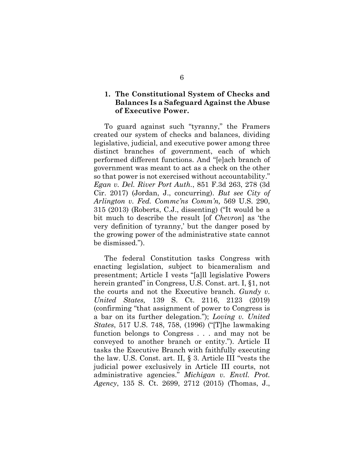### **1. The Constitutional System of Checks and Balances Is a Safeguard Against the Abuse of Executive Power.**

To guard against such "tyranny," the Framers created our system of checks and balances, dividing legislative, judicial, and executive power among three distinct branches of government, each of which performed different functions. And "[e]ach branch of government was meant to act as a check on the other so that power is not exercised without accountability." *Egan v. Del. River Port Auth.*, 851 F.3d 263, 278 (3d Cir. 2017) (Jordan, J., concurring). *But see City of Arlington v. Fed. Commc'ns Comm'n,* 569 U.S. 290, 315 (2013) (Roberts, C.J., dissenting) ("It would be a bit much to describe the result [of *Chevron*] as 'the very definition of tyranny,' but the danger posed by the growing power of the administrative state cannot be dismissed.").

The federal Constitution tasks Congress with enacting legislation, subject to bicameralism and presentment; Article I vests "[a]ll legislative Powers herein granted" in Congress, U.S. Const. art. I, §1, not the courts and not the Executive branch. *Gundy v. United States,* 139 S. Ct. 2116, 2123 (2019) (confirming "that assignment of power to Congress is a bar on its further delegation."); *Loving v. United States*, 517 U.S. 748, 758, (1996) ("[T]he lawmaking function belongs to Congress . . . and may not be conveyed to another branch or entity."). Article II tasks the Executive Branch with faithfully executing the law. U.S. Const. art. II, § 3. Article III "vests the judicial power exclusively in Article III courts, not administrative agencies." *Michigan v. Envtl. Prot. Agency*, 135 S. Ct. 2699, 2712 (2015) (Thomas, J.,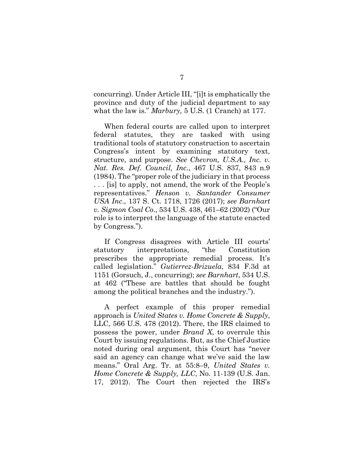concurring). Under Article III, "[i]t is emphatically the province and duty of the judicial department to say what the law is." *Marbury,* 5 U.S. (1 Cranch) at 177.

When federal courts are called upon to interpret federal statutes, they are tasked with using traditional tools of statutory construction to ascertain Congress's intent by examining statutory text, structure, and purpose. *See Chevron, U.S.A., Inc. v. Nat. Res. Def. Council, Inc*., 467 U.S. 837, 843 n.9 (1984). The "proper role of the judiciary in that process . . . [is] to apply, not amend, the work of the People's representatives." *Henson v. Santander Consumer USA Inc*., 137 S. Ct. 1718, 1726 (2017); *see Barnhart v. Sigmon Coal Co.*, 534 U.S. 438, 461–62 (2002) ("Our role is to interpret the language of the statute enacted by Congress.").

If Congress disagrees with Article III courts' statutory interpretations, "the Constitution prescribes the appropriate remedial process. It's called legislation." *Gutierrez-Brizuela*, 834 F.3d at 1151 (Gorsuch, J., concurring); *see Barnhart*, 534 U.S. at 462 ("These are battles that should be fought among the political branches and the industry.").

A perfect example of this proper remedial approach is *United States v. Home Concrete & Supply*, LLC, 566 U.S. 478 (2012). There, the IRS claimed to possess the power, under *Brand X*, to overrule this Court by issuing regulations. But, as the Chief Justice noted during oral argument, this Court has "never said an agency can change what we've said the law means." Oral Arg. Tr. at 55:8–9, *United States v. Home Concrete & Supply, LLC*, No. 11-139 (U.S. Jan. 17, 2012). The Court then rejected the IRS's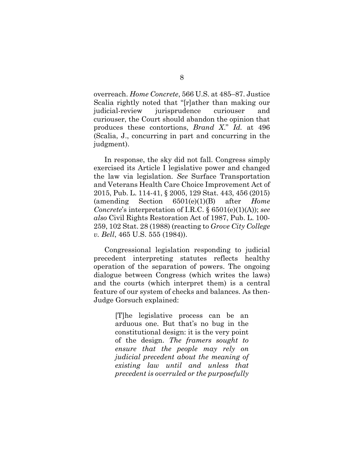overreach. *Home Concrete*, 566 U.S. at 485–87. Justice Scalia rightly noted that "[r]ather than making our judicial-review jurisprudence curiouser and curiouser, the Court should abandon the opinion that produces these contortions, *Brand X*." *Id.* at 496 (Scalia, J., concurring in part and concurring in the judgment).

In response, the sky did not fall. Congress simply exercised its Article I legislative power and changed the law via legislation. *See* Surface Transportation and Veterans Health Care Choice Improvement Act of 2015, Pub. L. 114-41, § 2005, 129 Stat. 443, 456 (2015) (amending Section 6501(e)(1)(B) after *Home Concrete*'s interpretation of I.R.C. § 6501(e)(1)(A)); *see also* Civil Rights Restoration Act of 1987, Pub. L. 100- 259, 102 Stat. 28 (1988) (reacting to *Grove City College v. Bell*, 465 U.S. 555 (1984)).

Congressional legislation responding to judicial precedent interpreting statutes reflects healthy operation of the separation of powers. The ongoing dialogue between Congress (which writes the laws) and the courts (which interpret them) is a central feature of our system of checks and balances. As then-Judge Gorsuch explained:

> [T]he legislative process can be an arduous one. But that's no bug in the constitutional design: it is the very point of the design. *The framers sought to ensure that the people may rely on judicial precedent about the meaning of existing law until and unless that precedent is overruled or the purposefully*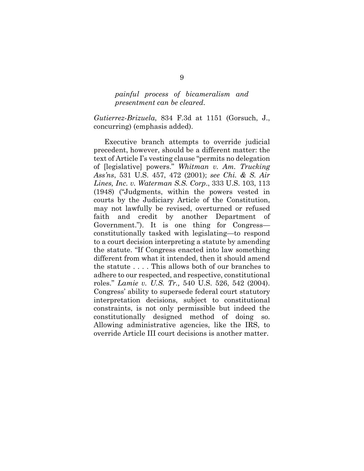#### *painful process of bicameralism and presentment can be cleared*.

*Gutierrez-Brizuela*, 834 F.3d at 1151 (Gorsuch, J., concurring) (emphasis added).

Executive branch attempts to override judicial precedent, however, should be a different matter: the text of Article I's vesting clause "permits no delegation of [legislative] powers." *Whitman v. Am. Trucking Ass'ns*, 531 U.S. 457, 472 (2001); *see Chi. & S. Air Lines, Inc. v. Waterman S.S. Corp*., 333 U.S. 103, 113 (1948) ("Judgments, within the powers vested in courts by the Judiciary Article of the Constitution, may not lawfully be revised, overturned or refused faith and credit by another Department of Government."). It is one thing for Congress constitutionally tasked with legislating—to respond to a court decision interpreting a statute by amending the statute. "If Congress enacted into law something different from what it intended, then it should amend the statute . . . . This allows both of our branches to adhere to our respected, and respective, constitutional roles." *Lamie v. U.S. Tr.,* 540 U.S. 526, 542 (2004). Congress' ability to supersede federal court statutory interpretation decisions, subject to constitutional constraints, is not only permissible but indeed the constitutionally designed method of doing so. Allowing administrative agencies, like the IRS, to override Article III court decisions is another matter.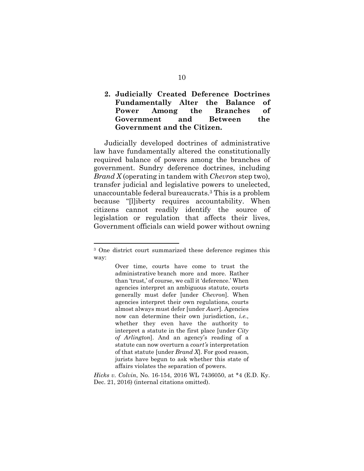### **2. Judicially Created Deference Doctrines Fundamentally Alter the Balance of Power Among the Branches of Government and Between the Government and the Citizen.**

Judicially developed doctrines of administrative law have fundamentally altered the constitutionally required balance of powers among the branches of government. Sundry deference doctrines, including *Brand X* (operating in tandem with *Chevron* step two), transfer judicial and legislative powers to unelected, unaccountable federal bureaucrats.3 This is a problem because "[l]iberty requires accountability. When citizens cannot readily identify the source of legislation or regulation that affects their lives, Government officials can wield power without owning

<sup>3</sup> One district court summarized these deference regimes this way:

Over time, courts have come to trust the administrative branch more and more. Rather than 'trust,' of course, we call it 'deference.' When agencies interpret an ambiguous statute, courts generally must defer [under *Chevron*]. When agencies interpret their own regulations, courts almost always must defer [under *Auer*]. Agencies now can determine their own jurisdiction, *i.e.*, whether they even have the authority to interpret a statute in the first place [under *City of Arlington*]. And an agency's reading of a statute can now overturn a *court's* interpretation of that statute [under *Brand X*]. For good reason, jurists have begun to ask whether this state of affairs violates the separation of powers.

*Hicks v. Colvin*, No. 16-154, 2016 WL 7436050, at \*4 (E.D. Ky. Dec. 21, 2016) (internal citations omitted).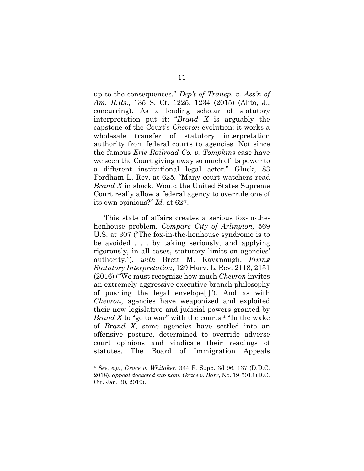up to the consequences." *Dep't of Transp. v. Ass'n of Am. R.Rs*., 135 S. Ct. 1225, 1234 (2015) (Alito, J., concurring). As a leading scholar of statutory interpretation put it: "*Brand X* is arguably the capstone of the Court's *Chevron* evolution: it works a wholesale transfer of statutory interpretation authority from federal courts to agencies. Not since the famous *Erie Railroad Co. v. Tompkins* case have we seen the Court giving away so much of its power to a different institutional legal actor." Gluck, 83 Fordham L. Rev. at 625. "Many court watchers read *Brand X* in shock. Would the United States Supreme Court really allow a federal agency to overrule one of its own opinions?" *Id.* at 627.

This state of affairs creates a serious fox-in-thehenhouse problem. *Compare City of Arlington,* 569 U.S. at 307 ("The fox-in-the-henhouse syndrome is to be avoided . . . by taking seriously, and applying rigorously, in all cases, statutory limits on agencies' authority."), *with* Brett M. Kavanaugh, *Fixing Statutory Interpretation*, 129 Harv. L. Rev. 2118, 2151 (2016) ("We must recognize how much *Chevron* invites an extremely aggressive executive branch philosophy of pushing the legal envelope[.]"). And as with *Chevron*, agencies have weaponized and exploited their new legislative and judicial powers granted by *Brand X* to "go to war" with the courts.<sup>4</sup> "In the wake of *Brand X*, some agencies have settled into an offensive posture, determined to override adverse court opinions and vindicate their readings of statutes. The Board of Immigration Appeals

<sup>4</sup> *See, e.g.*, *Grace v. Whitaker*, 344 F. Supp. 3d 96, 137 (D.D.C. 2018), *appeal docketed sub nom. Grace v. Barr*, No. 19-5013 (D.C. Cir. Jan. 30, 2019).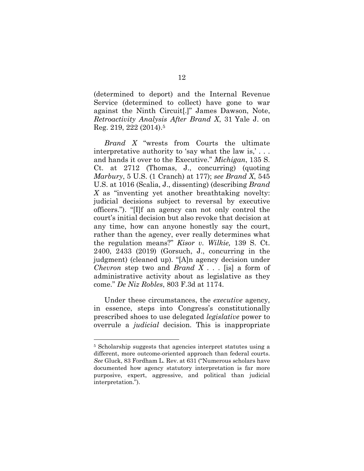(determined to deport) and the Internal Revenue Service (determined to collect) have gone to war against the Ninth Circuit[.]" James Dawson, Note, *Retroactivity Analysis After Brand X*, 31 Yale J. on Reg. 219, 222 (2014).5

*Brand X* "wrests from Courts the ultimate interpretative authority to 'say what the law is,' . . . and hands it over to the Executive." *Michigan*, 135 S. Ct. at 2712 (Thomas, J., concurring) (quoting *Marbury*, 5 U.S. (1 Cranch) at 177); *see Brand X*, 545 U.S. at 1016 (Scalia, J., dissenting) (describing *Brand X* as "inventing yet another breathtaking novelty: judicial decisions subject to reversal by executive officers."). "[I]f an agency can not only control the court's initial decision but also revoke that decision at any time, how can anyone honestly say the court, rather than the agency, ever really determines what the regulation means?" *Kisor v. Wilkie,* 139 S. Ct. 2400, 2433 (2019) (Gorsuch, J., concurring in the judgment) (cleaned up). "[A]n agency decision under *Chevron* step two and *Brand X* . . . [is] a form of administrative activity about as legislative as they come." *De Niz Robles*, 803 F.3d at 1174.

Under these circumstances, the *executive* agency, in essence, steps into Congress's constitutionally prescribed shoes to use delegated *legislative* power to overrule a *judicial* decision. This is inappropriate

<sup>5</sup> Scholarship suggests that agencies interpret statutes using a different, more outcome-oriented approach than federal courts. *See* Gluck, 83 Fordham L. Rev. at 631 ("Numerous scholars have documented how agency statutory interpretation is far more purposive, expert, aggressive, and political than judicial interpretation.").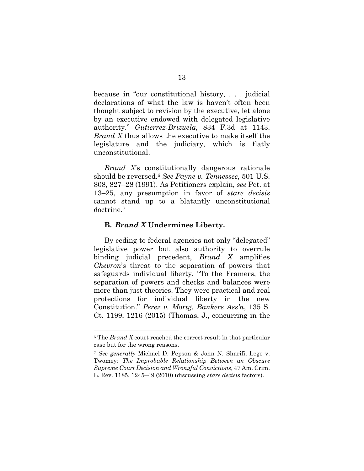because in "our constitutional history, . . . judicial declarations of what the law is haven't often been thought subject to revision by the executive, let alone by an executive endowed with delegated legislative authority." *Gutierrez-Brizuela,* 834 F.3d at 1143. *Brand X* thus allows the executive to make itself the legislature and the judiciary, which is flatly unconstitutional.

*Brand X*'s constitutionally dangerous rationale should be reversed.6 *See Payne v. Tennessee*, 501 U.S. 808, 827–28 (1991). As Petitioners explain, *see* Pet. at 13–25, any presumption in favor of *stare decisis*  cannot stand up to a blatantly unconstitutional doctrine.7

#### **B.** *Brand X* **Undermines Liberty.**

By ceding to federal agencies not only "delegated" legislative power but also authority to overrule binding judicial precedent, *Brand X* amplifies *Chevron*'s threat to the separation of powers that safeguards individual liberty. "To the Framers, the separation of powers and checks and balances were more than just theories. They were practical and real protections for individual liberty in the new Constitution." *Perez v. Mortg. Bankers Ass'n*, 135 S. Ct. 1199, 1216 (2015) (Thomas, J., concurring in the

<sup>6</sup> The *Brand X* court reached the correct result in that particular case but for the wrong reasons.

<sup>7</sup> *See generally* Michael D. Pepson & John N. Sharifi, Lego v. Twomey*: The Improbable Relationship Between an Obscure Supreme Court Decision and Wrongful Convictions*, 47 Am. Crim. L. Rev. 1185, 1245–49 (2010) (discussing *stare decisis* factors).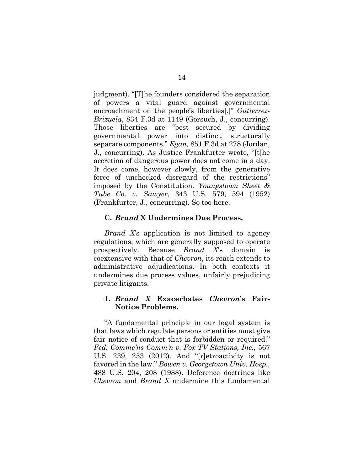judgment). "[T]he founders considered the separation of powers a vital guard against governmental encroachment on the people's liberties[.]" *Gutierrez-Brizuela*, 834 F.3d at 1149 (Gorsuch, J., concurring). Those liberties are "best secured by dividing governmental power into distinct, structurally separate components." *Egan,* 851 F.3d at 278 (Jordan, J., concurring). As Justice Frankfurter wrote, "[t]he accretion of dangerous power does not come in a day. It does come, however slowly, from the generative force of unchecked disregard of the restrictions" imposed by the Constitution. *Youngstown Sheet & Tube Co. v. Sawyer*, 343 U.S. 579, 594 (1952) (Frankfurter, J., concurring). So too here.

#### **C.** *Brand* **X Undermines Due Process.**

*Brand X*'s application is not limited to agency regulations, which are generally supposed to operate prospectively. Because *Brand X*'s domain is coextensive with that of *Chevron*, its reach extends to administrative adjudications. In both contexts it undermines due process values, unfairly prejudicing private litigants.

### **1.** *Brand X* **Exacerbates** *Chevron***'s Fair-Notice Problems.**

"A fundamental principle in our legal system is that laws which regulate persons or entities must give fair notice of conduct that is forbidden or required." *Fed. Commc'ns Comm'n v. Fox TV Stations, Inc.,* 567 U.S. 239, 253 (2012). And "[r]etroactivity is not favored in the law." *Bowen v. Georgetown Univ. Hosp.,*  488 U.S. 204, 208 (1988). Deference doctrines like *Chevron* and *Brand X* undermine this fundamental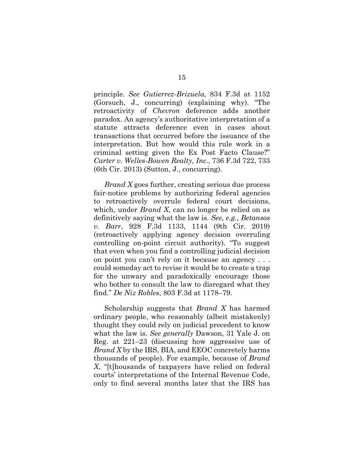principle. *See Gutierrez-Brizuela,* 834 F.3d at 1152 (Gorsuch, J., concurring) (explaining why). "The retroactivity of *Chevron* deference adds another paradox. An agency's authoritative interpretation of a statute attracts deference even in cases about transactions that occurred before the issuance of the interpretation. But how would this rule work in a criminal setting given the Ex Post Facto Clause?" *Carter v. Welles-Bowen Realty, Inc*., 736 F.3d 722, 733 (6th Cir. 2013) (Sutton, J., concurring).

*Brand X* goes further, creating serious due process fair-notice problems by authorizing federal agencies to retroactively overrule federal court decisions, which, under *Brand X*, can no longer be relied on as definitively saying what the law is. *See, e.g., Betansos v. Barr*, 928 F.3d 1133, 1144 (9th Cir. 2019) (retroactively applying agency decision overruling controlling on-point circuit authority). "To suggest that even when you find a controlling judicial decision on point you can't rely on it because an agency . . . could someday act to revise it would be to create a trap for the unwary and paradoxically encourage those who bother to consult the law to disregard what they find." *De Niz Robles*, 803 F.3d at 1178–79.

Scholarship suggests that *Brand X* has harmed ordinary people, who reasonably (albeit mistakenly) thought they could rely on judicial precedent to know what the law is. *See generally* Dawson, 31 Yale J. on Reg. at 221–23 (discussing how aggressive use of *Brand X* by the IRS, BIA, and EEOC concretely harms thousands of people). For example, because of *Brand X*, "[t]housands of taxpayers have relied on federal courts' interpretations of the Internal Revenue Code, only to find several months later that the IRS has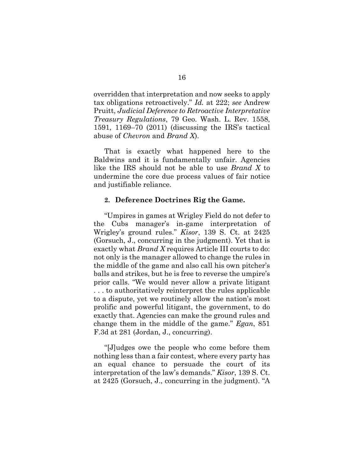overridden that interpretation and now seeks to apply tax obligations retroactively." *Id.* at 222; *see* Andrew Pruitt, *Judicial Deference to Retroactive Interpretative Treasury Regulations*, 79 Geo. Wash. L. Rev. 1558, 1591, 1169–70 (2011) (discussing the IRS's tactical abuse of *Chevron* and *Brand X*).

That is exactly what happened here to the Baldwins and it is fundamentally unfair. Agencies like the IRS should not be able to use *Brand X* to undermine the core due process values of fair notice and justifiable reliance.

#### **2. Deference Doctrines Rig the Game.**

"Umpires in games at Wrigley Field do not defer to the Cubs manager's in-game interpretation of Wrigley's ground rules." *Kisor*, 139 S. Ct. at 2425 (Gorsuch, J., concurring in the judgment). Yet that is exactly what *Brand X* requires Article III courts to do: not only is the manager allowed to change the rules in the middle of the game and also call his own pitcher's balls and strikes, but he is free to reverse the umpire's prior calls. "We would never allow a private litigant . . . to authoritatively reinterpret the rules applicable to a dispute, yet we routinely allow the nation's most prolific and powerful litigant, the government, to do exactly that. Agencies can make the ground rules and change them in the middle of the game." *Egan*, 851 F.3d at 281 (Jordan, J., concurring).

"[J]udges owe the people who come before them nothing less than a fair contest, where every party has an equal chance to persuade the court of its interpretation of the law's demands." *Kisor*, 139 S. Ct. at 2425 (Gorsuch, J., concurring in the judgment). "A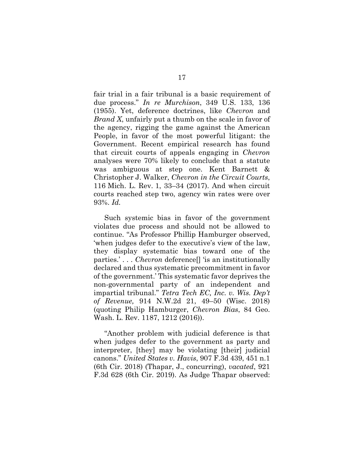fair trial in a fair tribunal is a basic requirement of due process." *In re Murchison*, 349 U.S. 133, 136 (1955). Yet, deference doctrines, like *Chevron* and *Brand X*, unfairly put a thumb on the scale in favor of the agency, rigging the game against the American People, in favor of the most powerful litigant: the Government. Recent empirical research has found that circuit courts of appeals engaging in *Chevron* analyses were 70% likely to conclude that a statute was ambiguous at step one. Kent Barnett & Christopher J. Walker, *Chevron in the Circuit Courts*, 116 Mich. L. Rev. 1, 33–34 (2017). And when circuit courts reached step two, agency win rates were over 93%. *Id.* 

Such systemic bias in favor of the government violates due process and should not be allowed to continue. "As Professor Phillip Hamburger observed, 'when judges defer to the executive's view of the law, they display systematic bias toward one of the parties.' . . . *Chevron* deference[] 'is an institutionally declared and thus systematic precommitment in favor of the government.' This systematic favor deprives the non-governmental party of an independent and impartial tribunal." *Tetra Tech EC, Inc. v. Wis. Dep't of Revenue,* 914 N.W.2d 21, 49–50 (Wisc. 2018) (quoting Philip Hamburger, *Chevron Bias*, 84 Geo. Wash. L. Rev. 1187, 1212 (2016)).

"Another problem with judicial deference is that when judges defer to the government as party and interpreter, [they] may be violating [their] judicial canons." *United States v. Havis*, 907 F.3d 439, 451 n.1 (6th Cir. 2018) (Thapar, J., concurring), *vacated*, 921 F.3d 628 (6th Cir. 2019). As Judge Thapar observed: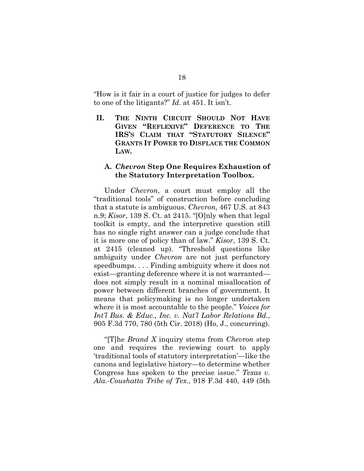"How is it fair in a court of justice for judges to defer to one of the litigants?" *Id.* at 451. It isn't.

**II. THE NINTH CIRCUIT SHOULD NOT HAVE GIVEN "REFLEXIVE" DEFERENCE TO THE IRS'S CLAIM THAT "STATUTORY SILENCE" GRANTS IT POWER TO DISPLACE THE COMMON LAW.** 

### **A.** *Chevron* **Step One Requires Exhaustion of the Statutory Interpretation Toolbox.**

Under *Chevron*, a court must employ all the "traditional tools" of construction before concluding that a statute is ambiguous. *Chevron,* 467 U.S. at 843 n.9; *Kisor*, 139 S. Ct. at 2415. "[O]nly when that legal toolkit is empty, and the interpretive question still has no single right answer can a judge conclude that it is more one of policy than of law." *Kisor*, 139 S. Ct. at 2415 (cleaned up). "Threshold questions like ambiguity under *Chevron* are not just perfunctory speedbumps. . . . Finding ambiguity where it does not exist—granting deference where it is not warranted does not simply result in a nominal misallocation of power between different branches of government. It means that policymaking is no longer undertaken where it is most accountable to the people." *Voices for Int'l Bus. & Educ., Inc. v. Nat'l Labor Relations Bd.*, 905 F.3d 770, 780 (5th Cir. 2018) (Ho, J., concurring).

"[T]he *Brand X* inquiry stems from *Chevron* step one and requires the reviewing court to apply 'traditional tools of statutory interpretation'—like the canons and legislative history—to determine whether Congress has spoken to the precise issue." *Texas v. Ala.-Coushatta Tribe of Tex*., 918 F.3d 440, 449 (5th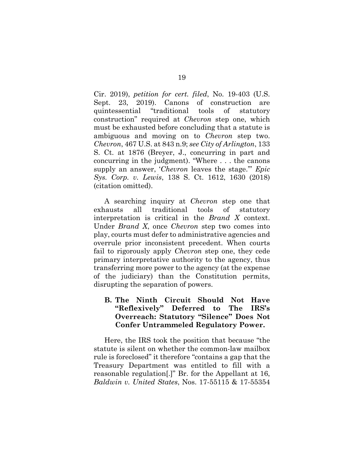Cir. 2019), *petition for cert. filed*, No. 19-403 (U.S. Sept. 23, 2019). Canons of construction are quintessential "traditional tools of statutory construction" required at *Chevron* step one, which must be exhausted before concluding that a statute is ambiguous and moving on to *Chevron* step two. *Chevron*, 467 U.S. at 843 n.9; *see City of Arlington*, 133 S. Ct. at 1876 (Breyer, J., concurring in part and concurring in the judgment). "Where . . . the canons supply an answer, '*Chevron* leaves the stage.'" *Epic Sys. Corp. v. Lewis*, 138 S. Ct. 1612, 1630 (2018) (citation omitted).

A searching inquiry at *Chevron* step one that exhausts all traditional tools of statutory interpretation is critical in the *Brand X* context. Under *Brand X*, once *Chevron* step two comes into play, courts must defer to administrative agencies and overrule prior inconsistent precedent. When courts fail to rigorously apply *Chevron* step one, they cede primary interpretative authority to the agency, thus transferring more power to the agency (at the expense of the judiciary) than the Constitution permits, disrupting the separation of powers.

### **B. The Ninth Circuit Should Not Have "Reflexively" Deferred to The IRS's Overreach: Statutory "Silence" Does Not Confer Untrammeled Regulatory Power.**

Here, the IRS took the position that because "the statute is silent on whether the common-law mailbox rule is foreclosed" it therefore "contains a gap that the Treasury Department was entitled to fill with a reasonable regulation[.]" Br. for the Appellant at 16, *Baldwin v. United States*, Nos. 17-55115 & 17-55354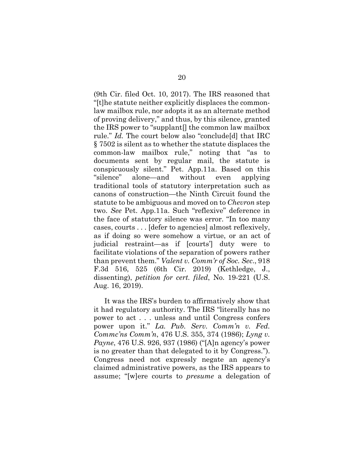(9th Cir. filed Oct. 10, 2017). The IRS reasoned that "[t]he statute neither explicitly displaces the commonlaw mailbox rule, nor adopts it as an alternate method of proving delivery," and thus, by this silence, granted the IRS power to "supplant[] the common law mailbox rule." *Id.* The court below also "conclude[d] that IRC § 7502 is silent as to whether the statute displaces the common-law mailbox rule," noting that "as to documents sent by regular mail, the statute is conspicuously silent." Pet. App.11a. Based on this "silence" alone—and without even applying traditional tools of statutory interpretation such as canons of construction—the Ninth Circuit found the statute to be ambiguous and moved on to *Chevron* step two. *See* Pet. App.11a. Such "reflexive" deference in the face of statutory silence was error. "In too many cases, courts . . . [defer to agencies] almost reflexively, as if doing so were somehow a virtue, or an act of judicial restraint—as if [courts'] duty were to facilitate violations of the separation of powers rather than prevent them." *Valent v. Comm'r of Soc. Sec*., 918 F.3d 516, 525 (6th Cir. 2019) (Kethledge, J., dissenting), *petition for cert. filed*, No. 19-221 (U.S. Aug. 16, 2019).

It was the IRS's burden to affirmatively show that it had regulatory authority. The IRS "literally has no power to act . . . unless and until Congress confers power upon it." *La. Pub. Serv. Comm'n v. Fed. Commc'ns Comm'n*, 476 U.S. 355, 374 (1986); *Lyng v. Payne*, 476 U.S. 926, 937 (1986) ("[A]n agency's power is no greater than that delegated to it by Congress."). Congress need not expressly negate an agency's claimed administrative powers, as the IRS appears to assume; "[w]ere courts to *presume* a delegation of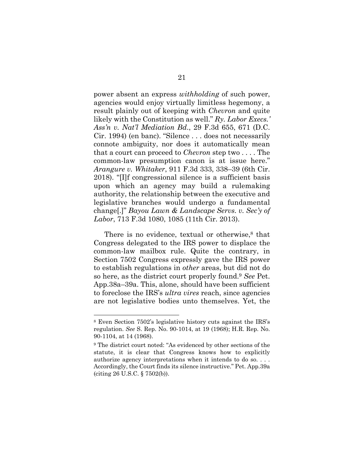power absent an express *withholding* of such power, agencies would enjoy virtually limitless hegemony, a result plainly out of keeping with *Chevron* and quite likely with the Constitution as well." *Ry. Labor Execs.' Ass'n v. Nat'l Mediation Bd*., 29 F.3d 655, 671 (D.C. Cir. 1994) (en banc). "Silence . . . does not necessarily connote ambiguity, nor does it automatically mean that a court can proceed to *Chevron* step two . . . . The common-law presumption canon is at issue here." *Arangure v. Whitaker*, 911 F.3d 333, 338–39 (6th Cir. 2018). "[I]f congressional silence is a sufficient basis upon which an agency may build a rulemaking authority, the relationship between the executive and legislative branches would undergo a fundamental change[.]" *Bayou Lawn & Landscape Servs. v. Sec'y of Labor*, 713 F.3d 1080, 1085 (11th Cir. 2013).

There is no evidence, textual or otherwise, $\delta$  that Congress delegated to the IRS power to displace the common-law mailbox rule. Quite the contrary, in Section 7502 Congress expressly gave the IRS power to establish regulations in *other* areas, but did not do so here, as the district court properly found.9 *See* Pet. App.38a–39a. This, alone, should have been sufficient to foreclose the IRS's *ultra vires* reach, since agencies are not legislative bodies unto themselves. Yet, the

<sup>8</sup> Even Section 7502's legislative history cuts against the IRS's regulation. *See* S. Rep. No. 90-1014, at 19 (1968); H.R. Rep. No. 90-1104, at 14 (1968).

<sup>9</sup> The district court noted: "As evidenced by other sections of the statute, it is clear that Congress knows how to explicitly authorize agency interpretations when it intends to do so. . . . Accordingly, the Court finds its silence instructive." Pet. App.39a (citing 26 U.S.C. § 7502(b)).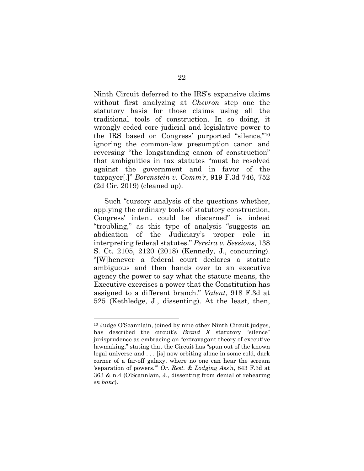Ninth Circuit deferred to the IRS's expansive claims without first analyzing at *Chevron* step one the statutory basis for those claims using all the traditional tools of construction. In so doing, it wrongly ceded core judicial and legislative power to the IRS based on Congress' purported "silence,"10 ignoring the common-law presumption canon and reversing "the longstanding canon of construction" that ambiguities in tax statutes "must be resolved against the government and in favor of the taxpayer[.]" *Borenstein v. Comm'r*, 919 F.3d 746, 752 (2d Cir. 2019) (cleaned up).

Such "cursory analysis of the questions whether, applying the ordinary tools of statutory construction, Congress' intent could be discerned" is indeed "troubling," as this type of analysis "suggests an abdication of the Judiciary's proper role in interpreting federal statutes." *Pereira v. Sessions*, 138 S. Ct. 2105, 2120 (2018) (Kennedy, J., concurring). "[W]henever a federal court declares a statute ambiguous and then hands over to an executive agency the power to say what the statute means, the Executive exercises a power that the Constitution has assigned to a different branch." *Valent*, 918 F.3d at 525 (Kethledge, J., dissenting). At the least, then,

<sup>10</sup> Judge O'Scannlain, joined by nine other Ninth Circuit judges, has described the circuit's *Brand X* statutory "silence" jurisprudence as embracing an "extravagant theory of executive lawmaking," stating that the Circuit has "spun out of the known legal universe and . . . [is] now orbiting alone in some cold, dark corner of a far-off galaxy, where no one can hear the scream 'separation of powers.'" *Or. Rest. & Lodging Ass'n*, 843 F.3d at 363 & n.4 (O'Scannlain, J., dissenting from denial of rehearing *en banc*).